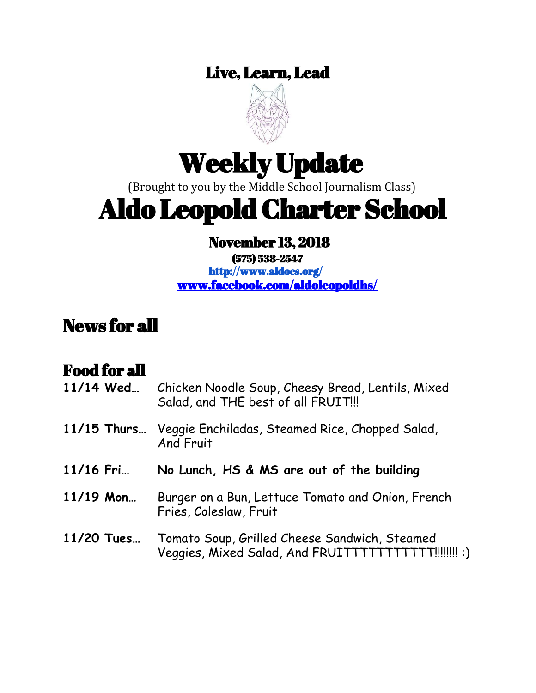## Live, Learn, Lead



# Weekly Update

(Brought to you by the Middle School Journalism Class)

# Aldo Leopold Charter School

## November 13, 2018

(575) 538-2547 <http://www.aldocs.org/> [www.facebook.com/aldoleopoldhs/](http://www.facebook.com/aldoleopoldhs/)

## News for all

## Food for all

| 11/14 Wed     | Chicken Noodle Soup, Cheesy Bread, Lentils, Mixed<br>Salad, and THE best of all FRUIT!!!               |
|---------------|--------------------------------------------------------------------------------------------------------|
| $11/15$ Thurs | Veggie Enchiladas, Steamed Rice, Chopped Salad,<br>And Fruit                                           |
| 11/16 Fri     | No Lunch, HS & MS are out of the building                                                              |
| $11/19$ Mon   | Burger on a Bun, Lettuce Tomato and Onion, French<br>Fries, Coleslaw, Fruit                            |
| 11/20 Tues    | Tomato Soup, Grilled Cheese Sandwich, Steamed<br>Veggies, Mixed Salad, And FRUITTTTTTTTTTT!!!!!!!!! :) |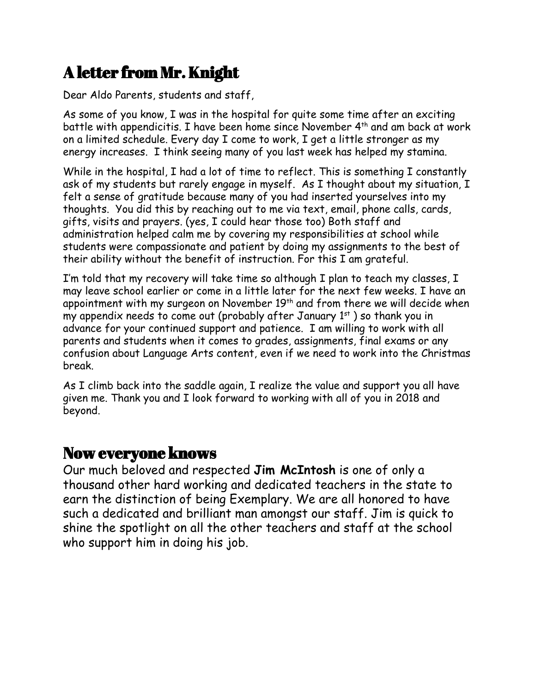## A letter from Mr. Knight

Dear Aldo Parents, students and staff,

As some of you know, I was in the hospital for quite some time after an exciting battle with appendicitis. I have been home since November 4<sup>th</sup> and am back at work on a limited schedule. Every day I come to work, I get a little stronger as my energy increases. I think seeing many of you last week has helped my stamina.

While in the hospital, I had a lot of time to reflect. This is something I constantly ask of my students but rarely engage in myself. As I thought about my situation, I felt a sense of gratitude because many of you had inserted yourselves into my thoughts. You did this by reaching out to me via text, email, phone calls, cards, gifts, visits and prayers. (yes, I could hear those too) Both staff and administration helped calm me by covering my responsibilities at school while students were compassionate and patient by doing my assignments to the best of their ability without the benefit of instruction. For this I am grateful.

I'm told that my recovery will take time so although I plan to teach my classes, I may leave school earlier or come in a little later for the next few weeks. I have an appointment with my surgeon on November  $19^{\text{th}}$  and from there we will decide when my appendix needs to come out (probably after January  $1<sup>st</sup>$  ) so thank you in advance for your continued support and patience. I am willing to work with all parents and students when it comes to grades, assignments, final exams or any confusion about Language Arts content, even if we need to work into the Christmas break.

As I climb back into the saddle again, I realize the value and support you all have given me. Thank you and I look forward to working with all of you in 2018 and beyond.

#### Now everyone knows

Our much beloved and respected **Jim McIntosh** is one of only a thousand other hard working and dedicated teachers in the state to earn the distinction of being Exemplary. We are all honored to have such a dedicated and brilliant man amongst our staff. Jim is quick to shine the spotlight on all the other teachers and staff at the school who support him in doing his job.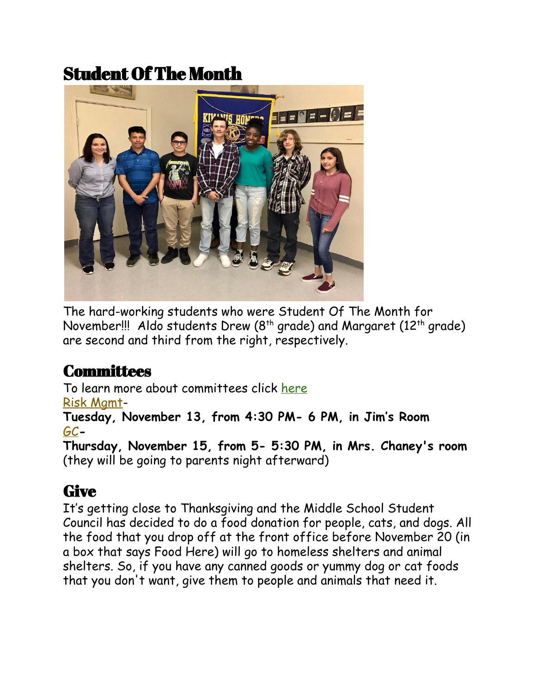## Student Of The Month



The hard-working students who were Student Of The Month for November!!! Aldo students Drew ( $8^{\text{th}}$  grade) and Margaret (12 $^{\text{th}}$  grade) are second and third from the right, respectively.

## **Committees**

To learn more about committees click [here](https://www.aldocs.org/committees.html) Risk [Mgmt](https://www.aldocs.org/risk-management.html)-

**Tuesday, November 13, from 4:30 PM- 6 PM, in Jim's Room** [GC](https://www.aldocs.org/about-the-alcs-governing-council.html)**-**

**Thursday, November 15, from 5- 5:30 PM, in Mrs. Chaney's room** (they will be going to parents night afterward)

#### **Give**

It's getting close to Thanksgiving and the Middle School Student Council has decided to do a food donation for people, cats, and dogs. All the food that you drop off at the front office before November 20 (in a box that says Food Here) will go to homeless shelters and animal shelters. So, if you have any canned goods or yummy dog or cat foods that you don't want, give them to people and animals that need it.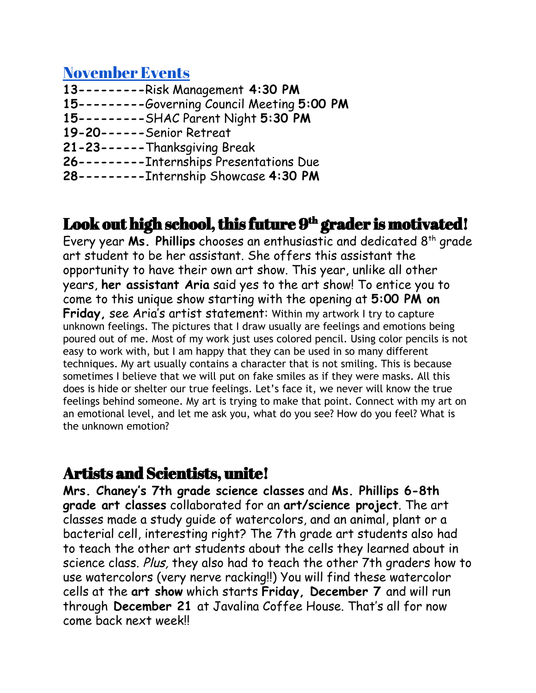#### [November](https://www.aldocs.org/) Events

- **13---------**Risk Management **4:30 PM**
- **15---------**Governing Council Meeting **5:00 PM**
- **15---------**SHAC Parent Night **5:30 PM**
- **19-20------**Senior Retreat
- **21-23------**Thanksgiving Break
- **26---------**Internships Presentations Due
- **28---------**Internship Showcase **4:30 PM**

### Look out high school, this future  $9^{\rm th}$  grader is motivated!

Every year **Ms. Phillips** chooses an enthusiastic and dedicated 8 th grade art student to be her assistant. She offers this assistant the opportunity to have their own art show. This year, unlike all other years, **her assistant Aria** said yes to the art show! To entice you to come to this unique show starting with the opening at **5:00 PM on Friday, see Aria's artist statement:** Within my artwork I try to capture unknown feelings. The pictures that I draw usually are feelings and emotions being poured out of me. Most of my work just uses colored pencil. Using color pencils is not easy to work with, but I am happy that they can be used in so many different techniques. My art usually contains a character that is not smiling. This is because sometimes I believe that we will put on fake smiles as if they were masks. All this does is hide or shelter our true feelings. Let's face it, we never will know the true feelings behind someone. My art is trying to make that point. Connect with my art on an emotional level, and let me ask you, what do you see? How do you feel? What is the unknown emotion?

#### Artists and Scientists, unite!

**Mrs. Chaney's 7th grade science classes** and **Ms. Phillips 6-8th grade art classes** collaborated for an **art/science project**. The art classes made a study guide of watercolors, and an animal, plant or a bacterial cell, interesting right? The 7th grade art students also had to teach the other art students about the cells they learned about in science class. Plus, they also had to teach the other 7th graders how to use watercolors (very nerve racking!!) You will find these watercolor cells at the **art show** which starts **Friday, December 7** and will run through **December 21** at Javalina Coffee House. That's all for now come back next week!!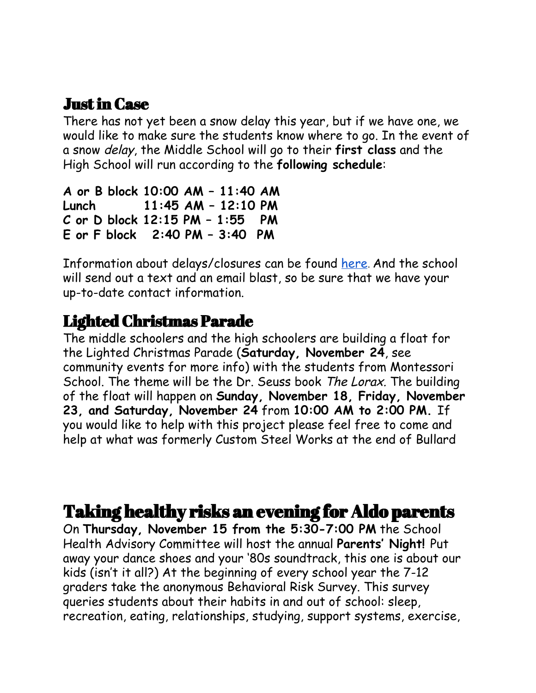### Justin Case

There has not yet been a snow delay this year, but if we have one, we would like to make sure the students know where to go. In the event of a snow delay, the Middle School will go to their **first class** and the High School will run according to the **following schedule**:

```
A or B block 10:00 AM – 11:40 AM
Lunch 11:45 AM – 12:10 PM
C or D block 12:15 PM – 1:55 PM
E or F block 2:40 PM – 3:40 PM
```
Information about delays/closures can be found [here](https://www.koat.com/weather/closings). And the school will send out a text and an email blast, so be sure that we have your up-to-date contact information.

### Lighted Christmas Parade

The middle schoolers and the high schoolers are building a float for the Lighted Christmas Parade (**Saturday, November 24**, see community events for more info) with the students from Montessori School. The theme will be the Dr. Seuss book The Lorax. The building of the float will happen on **Sunday, November 18, Friday, November 23, and Saturday, November 24** from **10:00 AM to 2:00 PM.** If you would like to help with this project please feel free to come and help at what was formerly Custom Steel Works at the end of Bullard

## Taking healthy risks an evening for Aldo parents

On **Thursday, November 15 from the 5:30-7:00 PM** the School Health Advisory Committee will host the annual **Parents' Night!** Put away your dance shoes and your '80s soundtrack, this one is about our kids (isn't it all?) At the beginning of every school year the 7-12 graders take the anonymous Behavioral Risk Survey. This survey queries students about their habits in and out of school: sleep, recreation, eating, relationships, studying, support systems, exercise,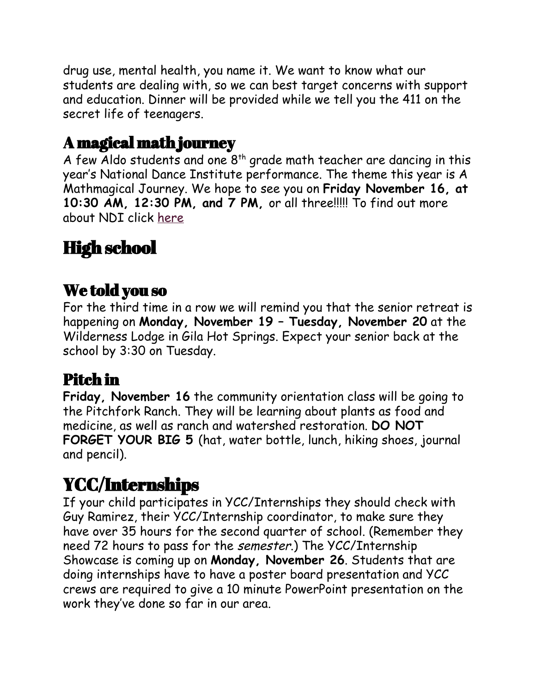drug use, mental health, you name it. We want to know what our students are dealing with, so we can best target concerns with support and education. Dinner will be provided while we tell you the 411 on the secret life of teenagers.

### A magical math journey

A few Aldo students and one  $8<sup>th</sup>$  grade math teacher are dancing in this year's National Dance Institute performance. The theme this year is A Mathmagical Journey. We hope to see you on **Friday November 16, at 10:30 AM, 12:30 PM, and 7 PM,** or all three!!!!! To find out more about NDI click [here](https://www.ndi-nm.org/)

# High school

## We told you so

For the third time in a row we will remind you that the senior retreat is happening on **Monday, November 19 – Tuesday, November 20** at the Wilderness Lodge in Gila Hot Springs. Expect your senior back at the school by 3:30 on Tuesday.

## Pitch in

**Friday, November 16** the community orientation class will be going to the Pitchfork Ranch. They will be learning about plants as food and medicine, as well as ranch and watershed restoration. **DO NOT FORGET YOUR BIG 5** (hat, water bottle, lunch, hiking shoes, journal and pencil).

## YCC/Internships

If your child participates in YCC/Internships they should check with Guy Ramirez, their YCC/Internship coordinator, to make sure they have over 35 hours for the second quarter of school. (Remember they need 72 hours to pass for the semester.) The YCC/Internship Showcase is coming up on **Monday, November 26**. Students that are doing internships have to have a poster board presentation and YCC crews are required to give a 10 minute PowerPoint presentation on the work they've done so far in our area.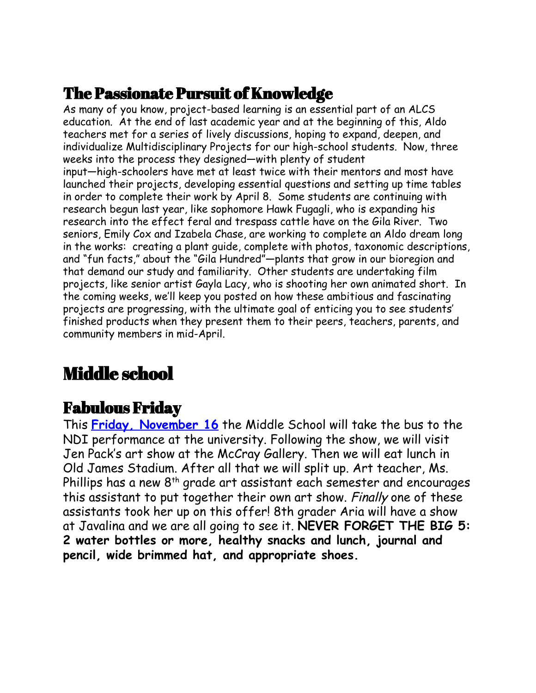## The Passionate Pursuit of Knowledge

As many of you know, project-based learning is an essential part of an ALCS education. At the end of last academic year and at the beginning of this, Aldo teachers met for a series of lively discussions, hoping to expand, deepen, and individualize Multidisciplinary Projects for our high-school students. Now, three weeks into the process they designed—with plenty of student input—high-schoolers have met at least twice with their mentors and most have launched their projects, developing essential questions and setting up time tables in order to complete their work by April 8. Some students are continuing with research begun last year, like sophomore Hawk Fugagli, who is expanding his research into the effect feral and trespass cattle have on the Gila River. Two seniors, Emily Cox and Izabela Chase, are working to complete an Aldo dream long in the works: creating a plant guide, complete with photos, taxonomic descriptions, and "fun facts," about the "Gila Hundred"—plants that grow in our bioregion and that demand our study and familiarity. Other students are undertaking film projects, like senior artist Gayla Lacy, who is shooting her own animated short. In the coming weeks, we'll keep you posted on how these ambitious and fascinating projects are progressing, with the ultimate goal of enticing you to see students' finished products when they present them to their peers, teachers, parents, and community members in mid-April.

## Middle school

#### Fabulous Friday

This **Friday, [November](https://www.aldocs.org/uploads/1/1/5/7/115705285/action___art__nov._16.pdf) 16** the Middle School will take the bus to the NDI performance at the university. Following the show, we will visit Jen Pack's art show at the McCray Gallery. Then we will eat lunch in Old James Stadium. After all that we will split up. Art teacher, Ms. Phillips has a new  $8^\text{th}$  grade art assistant each semester and encourages this assistant to put together their own art show. Finally one of these assistants took her up on this offer! 8th grader Aria will have a show at Javalina and we are all going to see it. **NEVER FORGET THE BIG 5: 2 water bottles or more, healthy snacks and lunch, journal and pencil, wide brimmed hat, and appropriate shoes.**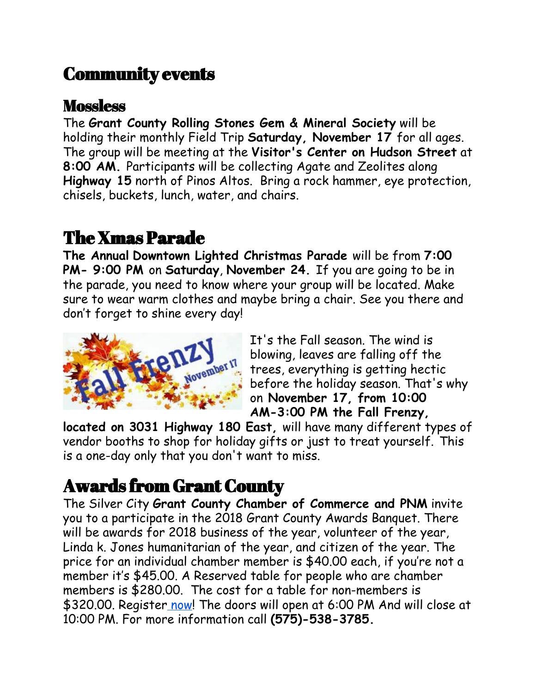## Community events

#### **Mossless**

The **Grant County Rolling Stones Gem & Mineral Society** will be holding their monthly Field Trip **Saturday, November 17** for all ages. The group will be meeting at the **Visitor's Center on Hudson Street** at **8:00 AM.** Participants will be collecting Agate and Zeolites along **Highway 15** north of Pinos Altos. Bring a rock hammer, eye protection, chisels, buckets, lunch, water, and chairs.

## The Xmas Parade

**The Annual Downtown Lighted Christmas Parade** will be from **7:00 PM- 9:00 PM** on **Saturday**, **November 24.** If you are going to be in the parade, you need to know where your group will be located. Make sure to wear warm clothes and maybe bring a chair. See you there and don't forget to shine every day!



It's the Fall season. The wind is blowing, leaves are falling off the trees, everything is getting hectic before the holiday season. That's why on **November 17, from 10:00 AM-3:00 PM the Fall Frenzy,**

**located on 3031 Highway 180 East,** will have many different types of vendor booths to shop for holiday gifts or just to treat yourself. This is a one-day only that you don't want to miss.

# Awards from Grant County

The Silver City **Grant County Chamber of Commerce and PNM** invite you to a participate in the 2018 Grant County Awards Banquet. There will be awards for 2018 business of the year, volunteer of the year, Linda k. Jones humanitarian of the year, and citizen of the year. The price for an individual chamber member is \$40.00 each, if you're not a member it's \$45.00. A Reserved table for people who are chamber members is \$280.00. The cost for a table for non-members is \$320.00. Register [now!](https://silvercity.chambermaster.com/eventregistration/register/4693) The doors will open at 6:00 PM And will close at 10:00 PM. For more information call **(575)-538-3785.**